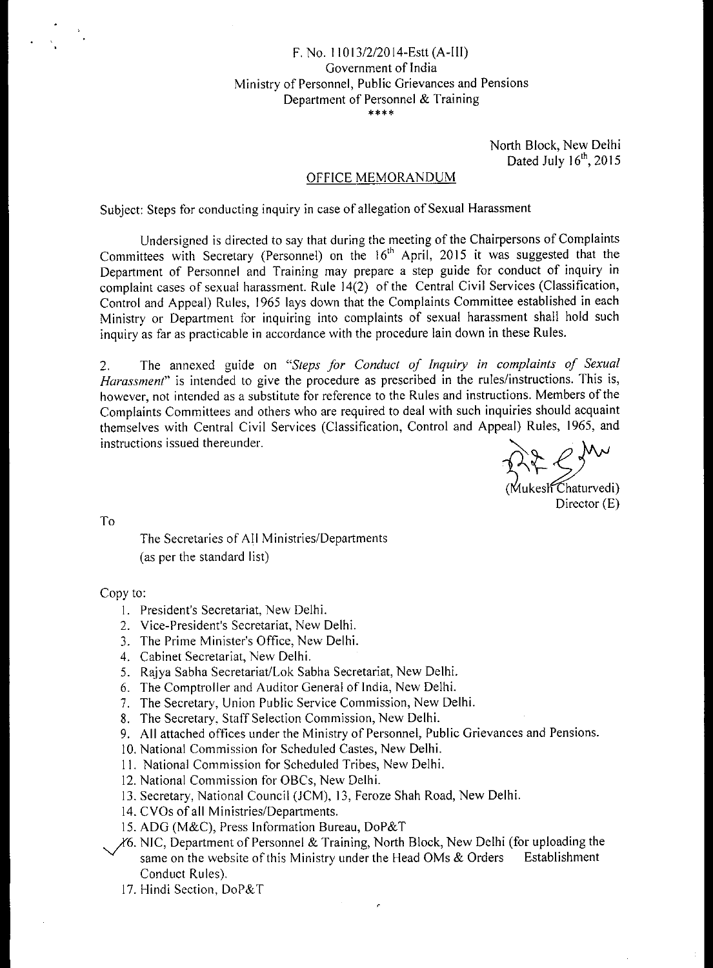## F. No. 11013/2/2014-Estt (A-II1) Government of India Ministry of Personnel, Public Grievances and Pensions Department of Personnel & Training \*\*\*\*

North Block, New Delhi Dated July  $16<sup>th</sup>$ , 2015

#### OFFICE MEMORANDUM

Subject: Steps for conducting inquiry in case of allegation of Sexual Harassment

Undersigned is directed to say that during the meeting of the Chairpersons of Complaints Committees with Secretary (Personnel) on the 16<sup>th</sup> April, 2015 it was suggested that the Department of Personnel and Training may prepare a step guide for conduct of inquiry in complaint cases of sexual harassment. Rule 14(2) of the Central Civil Services (Classification, Control and Appeal) Rules, 1965 lays down that the Complaints Committee established in each Ministry or Department for inquiring into complaints of sexual harassment shall hold such inquiry as far as practicable in accordance with the procedure lain down in these Rules.

2. The annexed guide on *"Steps for Conduct of Inquiry in complaints of Sexual Harassment"* is intended to give the procedure as prescribed in the rules/instructions. This is, however, not intended as a substitute for reference to the Rules and instructions. Members of the Complaints Committees and others who are required to deal with such inquiries should acquaint themselves with Central Civil Services (Classification, Control and Appeal) Rules, 1965, and instructions issued thereunder.

Mukesh Chaturvedi) Director (E)

To

The Secretaries of All Ministries/Departments (as per the standard list)

Copy to:

- I. President's Secretariat, New Delhi.
- 2. Vice-President's Secretariat, New Delhi.
- 3. The Prime Minister's Office, New Delhi.
- 4. Cabinet Secretariat, New Delhi.
- 5. Rajya Sabha Secretariat/Lok Sabha Secretariat, New Delhi.
- 6. The Comptroller and Auditor General of India, New Delhi.
- 7. The Secretary, Union Public Service Commission, New Delhi.
- 8. The Secretary, Staff Selection Commission, New Delhi.
- 9. All attached offices under the Ministry of Personnel, Public Grievances and Pensions.
- 10. National Commission for Scheduled Castes, New Delhi.
- 11. National Commission for Scheduled Tribes, New Delhi.
- 12. National Commission for OBCs, New Delhi.
- 13. Secretary, National Council (JCM), 13, Feroze Shah Road, New Delhi.
- 14. CVOs of all Ministries/Departments.
- 15. ADG (M&C), Press Information Bureau, DoP&T
- $X_0$ . NIC, Department of Personnel & Training, North Block, New Delhi (for uploading the same on the website of this Ministry under the Head OMs  $&$  Orders Establishment Conduct Rules).
	- 17. Hindi Section. DoP&T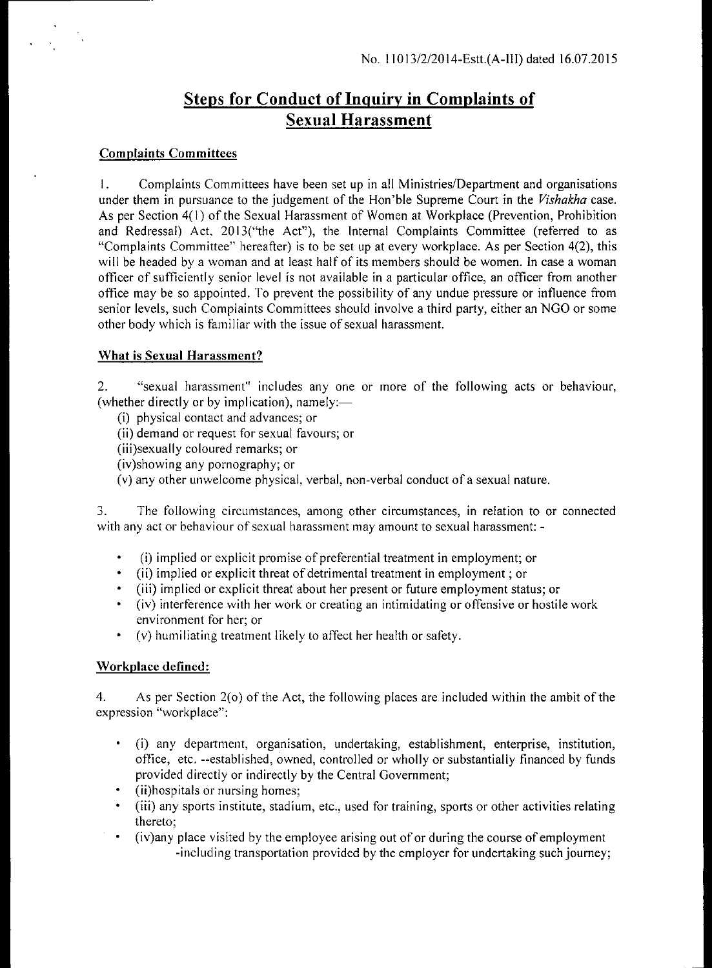# Steps for Conduct of Inquiry in Complaints of Sexual Harassment

# Complaints Committees

1. Complaints Committees have been set up in all Ministries/Department and organisations under them in pursuance to the judgement of the Hon'ble Supreme Court in the Vishakha case. As per Section 4(1) of the Sexual Harassment of Women at Workplace (Prevention, Prohibition and Redressal) Act, 2013("the Act"), the Internal Complaints Committee (referred to as "Complaints Committee" hereafter) is to be set up at every workplace. As per Section 4(2), this will be headed by a woman and at least half of its members should be women. In case a woman officer of sufficiently senior level is not available in a particular office, an officer from another office may be so appointed. To prevent the possibility of any undue pressure or influence from senior levels, such Complaints Committees should involve a third party, either an NGO or some other body which is familiar with the issue of sexual harassment.

# What is Sexual Harassment?

2. "sexual harassment" includes any one or more of the following acts or behaviour, (whether directly or by implication), namely:—

- (i) physical contact and advances; or
- (ii) demand or request for sexual favours; or
- (iii)sexually coloured remarks; or
- (iv)showing any pornography; or
- (v) any other unwelcome physical, verbal, non-verbal conduct of a sexual nature.

3. The following circumstances, among other circumstances, in relation to or connected with any act or behaviour of sexual harassment may amount to sexual harassment: -

- (i) implied or explicit promise of preferential treatment in employment; or
- (ii) implied or explicit threat of detrimental treatment in employment ; or
- (iii) implied or explicit threat about her present or future employment status; or
- (iv) interference with her work or creating an intimidating or offensive or hostile work environment for her; or
- (v) humiliating treatment likely to affect her health or safety.

# Workplace defined:

4. As per Section 2(o) of the Act, the following places are included within the ambit of the expression "workplace":

- (i) any department, organisation, undertaking, establishment, enterprise, institution, office, etc. --established, owned, controlled or wholly or substantially financed by funds provided directly or indirectly by the Central Government;
- (ii)hospitals or nursing homes;
- (iii) any sports institute, stadium, etc., used for training, sports or other activities relating thereto;
- (iv)any place visited by the employee arising out of or during the course of employment -including transportation provided by the employer for undertaking such journey;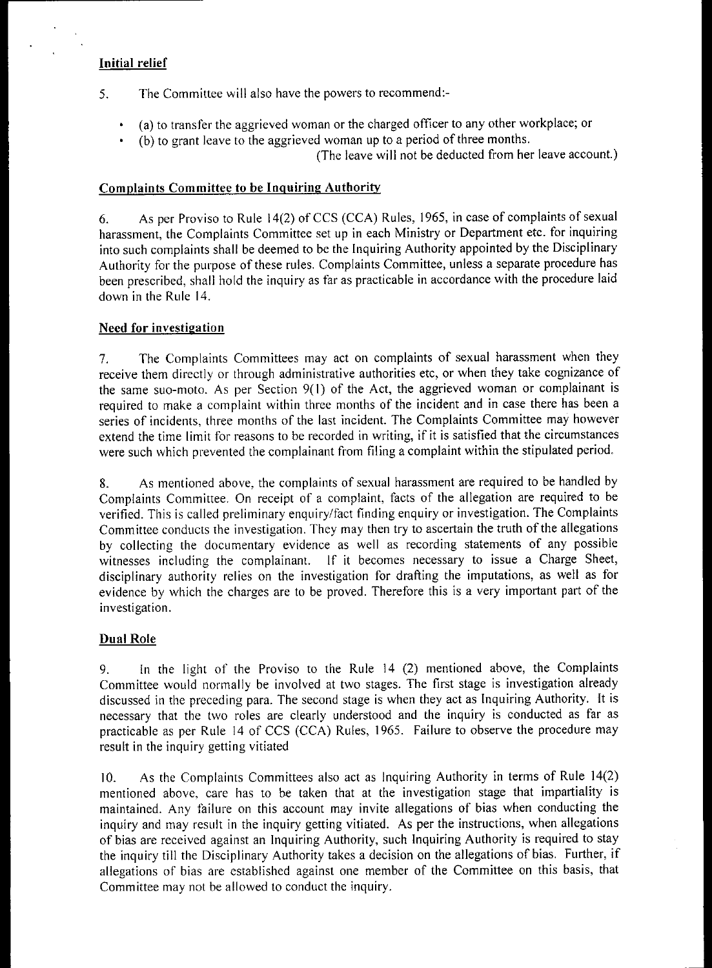# Initial relief

5. The Committee will also have the powers to recommend:-

- (a) to transfer the aggrieved woman or the charged officer to any other workplace; or
- (b) to grant leave to the aggrieved woman up to a period of three months.
	- (The leave will not be deducted from her leave account.)

## Complaints Committee to be Inquiring Authority

6. As per Proviso to Rule 14(2) of CCS (CCA) Rules, 1965, in case of complaints of sexual harassment, the Complaints Committee set up in each Ministry or Department etc. for inquiring into such complaints shall be deemed to be the Inquiring Authority appointed by the Disciplinary Authority for the purpose of these rules. Complaints Committee, unless a separate procedure has been prescribed, shall hold the inquiry as far as practicable in accordance with the procedure laid down in the Rule 14.

## Need for investigation

7. The Complaints Committees may act on complaints of sexual harassment when they receive them directly or through administrative authorities etc, or when they take cognizance of the same suo-moto. As per Section 9(1) of the Act, the aggrieved woman or complainant is required to make a complaint within three months of the incident and in case there has been a series of incidents, three months of the last incident. The Complaints Committee may however extend the time limit for reasons to be recorded in writing, if it is satisfied that the circumstances were such which prevented the complainant from filing a complaint within the stipulated period.

8. As mentioned above, the complaints of sexual harassment are required to be handled by Complaints Committee. On receipt of a complaint, facts of the allegation are required to be verified. This is called preliminary enquiry/fact finding enquiry or investigation. The Complaints Committee conducts the investigation. They may then try to ascertain the truth of the allegations by collecting the documentary evidence as well as recording statements of any possible witnesses including the complainant. If it becomes necessary to issue a Charge Sheet, disciplinary authority relies on the investigation for drafting the imputations, as well as for evidence by which the charges are to be proved. Therefore this is a very important part of the investigation.

# Dual Role

9. In the light of the Proviso to the Rule 14 (2) mentioned above, the Complaints Committee would normally be involved at two stages. The first stage is investigation already discussed in the preceding para. The second stage is when they act as Inquiring Authority. It is necessary that the two roles are clearly understood and the inquiry is conducted as far as practicable as per Rule 14 of CCS (CCA) Rules, 1965. Failure to observe the procedure may result in the inquiry getting vitiated

10. As the Complaints Committees also act as Inquiring Authority in terms of Rule 14(2) mentioned above, care has to be taken that at the investigation stage that impartiality is maintained. Any failure on this account may invite allegations of bias when conducting the inquiry and may result in the inquiry getting vitiated. As per the instructions, when allegations of bias are received against an Inquiring Authority, such Inquiring Authority is required to stay the inquiry till the Disciplinary Authority takes a decision on the allegations of bias. Further, if allegations of bias are established against one member of the Committee on this basis, that Committee may not be allowed to conduct the inquiry.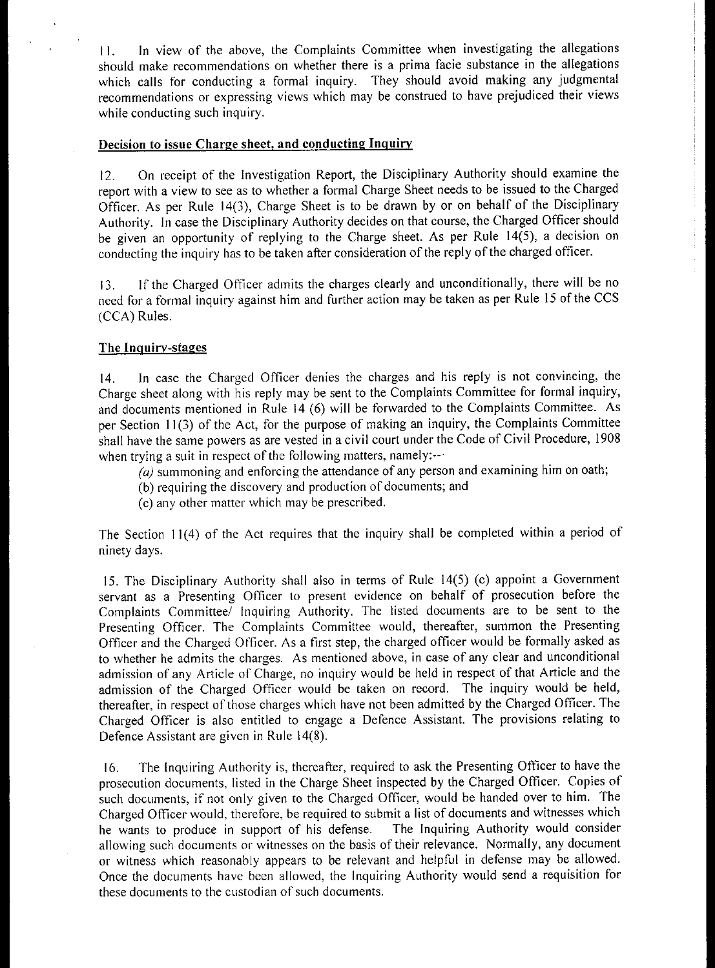11. In view of the above, the Complaints Committee when investigating the allegations should make recommendations on whether there is a prima facie substance in the allegations which calls for conducting a formal inquiry. They should avoid making any judgmental recommendations or expressing views which may be construed to have prejudiced their views while conducting such inquiry.

#### Decision to issue Charge sheet, and conducting Inquiry

12. On receipt of the Investigation Report, the Disciplinary Authority should examine the report with a view to see as to whether a formal Charge Sheet needs to be issued to the Charged Officer. As per Rule 14(3), Charge Sheet is to be drawn by or on behalf of the Disciplinary Authority. In case the Disciplinary Authority decides on that course, the Charged Officer should be given an opportunity of replying to the Charge sheet. As per Rule 14(5), a decision on conducting the inquiry has to be taken after consideration of the reply of the charged officer.

13. If the Charged Officer admits the charges clearly and unconditionally, there will be no need for a formal inquiry against him and further action may be taken as per Rule 15 of the CCS (CCA) Rules.

## The Inquiry-stages

14. In case the Charged Officer denies the charges and his reply is not convincing, the Charge sheet along with his reply may be sent to the Complaints Committee for formal inquiry, and documents mentioned in Rule 14 (6) will be forwarded to the Complaints Committee. As per Section 11(3) of the Act, for the purpose of making an inquiry, the Complaints Committee shall have the same powers as are vested in a civil court under the Code of Civil Procedure, 1908 when trying a suit in respect of the following matters, namely:--

- $(a)$  summoning and enforcing the attendance of any person and examining him on oath;
- (b) requiring the discovery and production of documents; and
- (c) any other matter which may be prescribed.

The Section 11(4) of the Act requires that the inquiry shall be completed within a period of ninety days.

15. The Disciplinary Authority shall also in terms of Rule 14(5) (c) appoint a Government servant as a Presenting Officer to present evidence on behalf of prosecution before the Complaints Committee/ Inquiring Authority. The listed documents are to be sent to the Presenting Officer. The Complaints Committee would, thereafter, summon the Presenting Officer and the Charged Officer. As a first step, the charged officer would be formally asked as to whether he admits the charges. As mentioned above, in case of any clear and unconditional admission of any Article of Charge, no inquiry would be held in respect of that Article and the admission of the Charged Officer would be taken on record. The inquiry would be held, thereafter, in respect of those charges which have not been admitted by the Charged Officer. The Charged Officer is also entitled to engage a Defence Assistant. The provisions relating to Defence Assistant are given in Rule 14(8).

16. The Inquiring Authority is, thereafter, required to ask the Presenting Officer to have the prosecution documents, listed in the Charge Sheet inspected by the Charged Officer. Copies of such documents, if not only given to the Charged Officer, would be handed over to him. The Charged Officer would, therefore, be required to submit a list of documents and witnesses which he wants to produce in support of his defense. The Inquiring Authority would consider allowing such documents or witnesses on the basis of their relevance. Normally, any document or witness which reasonably appears to be relevant and helpful in defense may be allowed. Once the documents have been allowed, the Inquiring Authority would send a requisition for these documents to the custodian of such documents.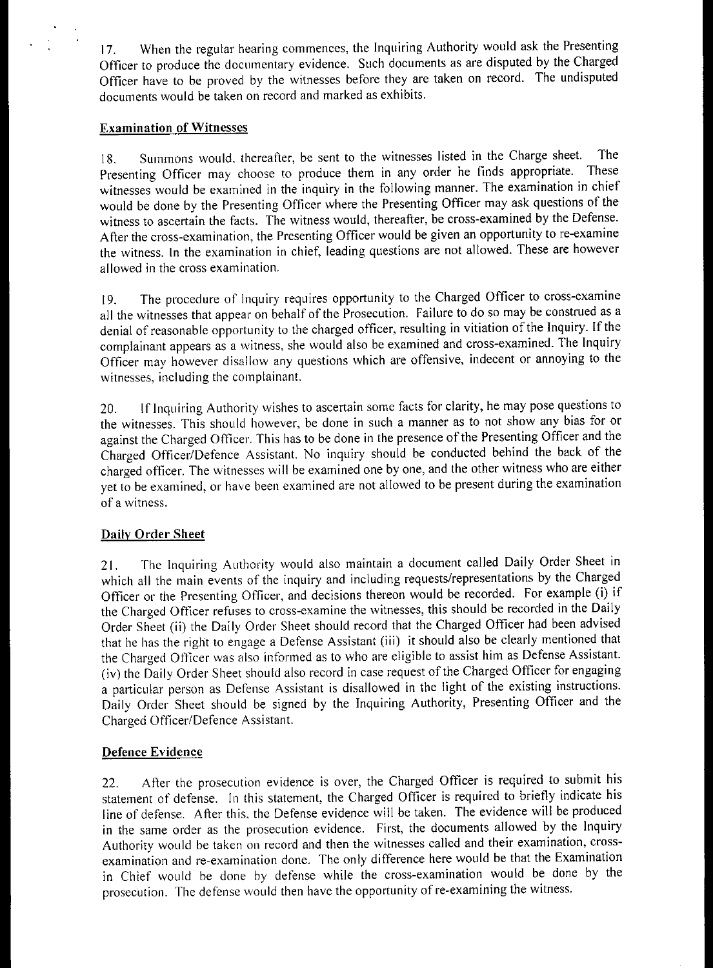17. When the regular hearing commences, the Inquiring Authority would ask the Presenting Officer to produce the documentary evidence. Such documents as are disputed by the Charged Officer have to be proved by the witnesses before they are taken on record. The undisputed documents would be taken on record and marked as exhibits.

# Examination of Witnesses

18. Summons would, thereafter, be sent to the witnesses listed in the Charge sheet. The Presenting Officer may choose to produce them in any order he finds appropriate. These witnesses would be examined in the inquiry in the following manner. The examination in chief would be done by the Presenting Officer where the Presenting Officer may ask questions of the witness to ascertain the facts. The witness would, thereafter, be cross-examined by the Defense. After the cross-examination, the Presenting Officer would be given an opportunity to re-examine the witness. In the examination in chief, leading questions are not allowed. These are however allowed in the cross examination.

19. The procedure of Inquiry requires opportunity to the Charged Officer to cross-examine all the witnesses that appear on behalf of the Prosecution. Failure to do so may be construed as a denial of reasonable opportunity to the charged officer, resulting in vitiation of the Inquiry. If the complainant appears as a witness, she would also be examined and cross-examined. The Inquiry Officer may however disallow any questions which are offensive, indecent or annoying to the witnesses, including the complainant.

20. If Inquiring Authority wishes to ascertain some facts for clarity, he may pose questions to the witnesses. This should however, be done in such a manner as to not show any bias for or against the Charged Officer. This has to be done in the presence of the Presenting Officer and the Charged Officer/Defence Assistant. No inquiry should be conducted behind the back of the charged officer. The witnesses will be examined one by one, and the other witness who are either yet to be examined, or have been examined are not allowed to be present during the examination of a witness.

# Daily Order Sheet

21. The Inquiring Authority would also maintain a document called Daily Order Sheet in which all the main events of the inquiry and including requests/representations by the Charged Officer or the Presenting Officer, and decisions thereon would be recorded. For example (i) if the Charged Officer refuses to cross-examine the witnesses, this should be recorded in the Daily Order Sheet (ii) the Daily Order Sheet should record that the Charged Officer had been advised that he has the right to engage a Defense Assistant (iii) it should also be clearly mentioned that the Charged Officer was also informed as to who are eligible to assist him as Defense Assistant. (iv) the Daily Order Sheet should also record in case request of the Charged Officer for engaging a particular person as Defense Assistant is disallowed in the light of the existing instructions. Daily Order Sheet should be signed by the Inquiring Authority, Presenting Officer and the Charged Officer/Defence Assistant.

# Defence Evidence

22. After the prosecution evidence is over, the Charged Officer is required to submit his statement of defense. In this statement, the Charged Officer is required to briefly indicate his line of defense. After this, the Defense evidence will be taken. The evidence will be produced in the same order as the prosecution evidence. First, the documents allowed by the Inquiry Authority would be taken on record and then the witnesses called and their examination, crossexamination and re-examination done. The only difference here would be that the Examination in Chief would be done by defense while the cross-examination would be done by the prosecution. The defense would then have the opportunity of re-examining the witness.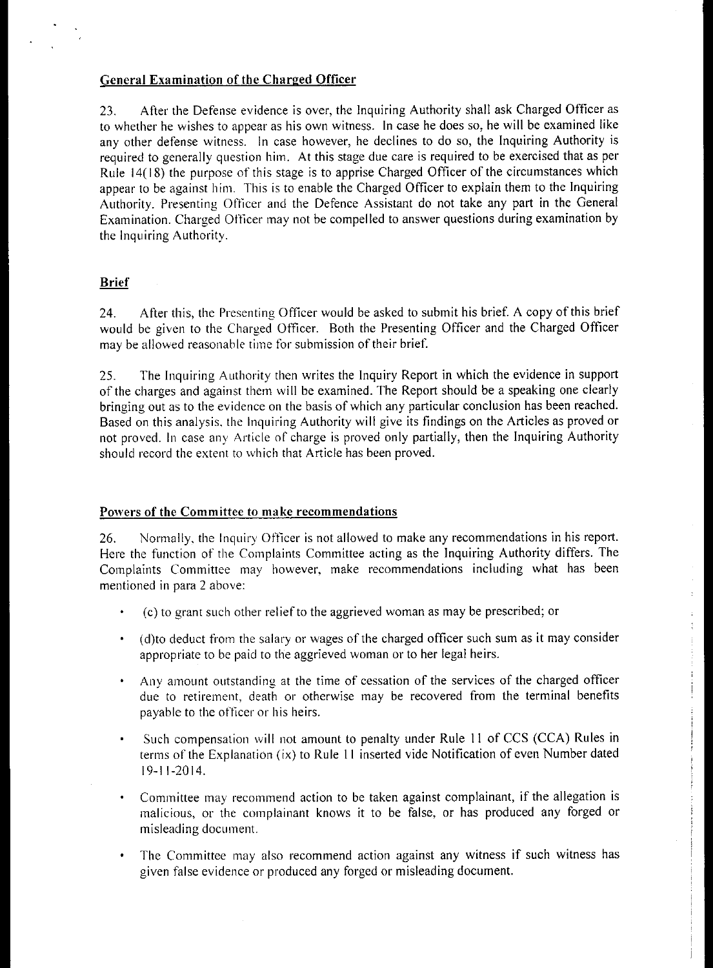## General Examination of the Charged Officer

23. After the Defense evidence is over, the Inquiring Authority shall ask Charged Officer as to whether he wishes to appear as his own witness. In case he does so, he will be examined like any other defense witness. In case however, he declines to do so, the Inquiring Authority is required to generally question him. At this stage due care is required to be exercised that as per Rule 14(18) the purpose of this stage is to apprise Charged Officer of the circumstances which appear to be against him. This is to enable the Charged Officer to explain them to the Inquiring Authority. Presenting Officer and the Defence Assistant do not take any part in the General Examination. Charged Officer may not be compelled to answer questions during examination by the Inquiring Authority.

## Brief

24. After this, the Presenting Officer would be asked to submit his brief. A copy of this brief would be given to the Charged Officer. Both the Presenting Officer and the Charged Officer may be allowed reasonable time for submission of their brief

25. The Inquiring Authority then writes the Inquiry Report in which the evidence in support of the charges and against them will be examined. The Report should be a speaking one clearly bringing out as to the evidence on the basis of which any particular conclusion has been reached. Based on this analysis. the Inquiring Authority will give its findings on the Articles as proved or not proved. In case any Article of charge is proved only partially, then the Inquiring Authority should record the extent to which that Article has been proved.

### Powers of the Committee to make recommendations

26. Normally, the Inquiry Officer is not allowed to make any recommendations in his report. Here the function of the Complaints Committee acting as the Inquiring Authority differs. The Complaints Committee may however, make recommendations including what has been mentioned in para 2 above:

- (c) to grant such other relief to the aggrieved woman as may be prescribed; or
- (d)to deduct from the salary or wages of the charged officer such sum as it may consider appropriate to be paid to the aggrieved woman or to her legal heirs.

 $\bar{z}$ 

 $\frac{1}{k}$ 

- Any amount outstanding at the time of cessation of the services of the charged officer due to retirement, death or otherwise may be recovered from the terminal benefits payable to the officer or his heirs.
- Such compensation will not amount to penalty under Rule 11 of CCS (CCA) Rules in terms of the Explanation (ix) to Rule I I inserted vide Notification of even Number dated 19-11-2014.
- Committee may recommend action to be taken against complainant, if the allegation is  $\bullet$ malicious, or the complainant knows it to be false, or has produced any forged or misleading document.
- The Committee may also recommend action against any witness if such witness has given false evidence or produced any forged or misleading document.